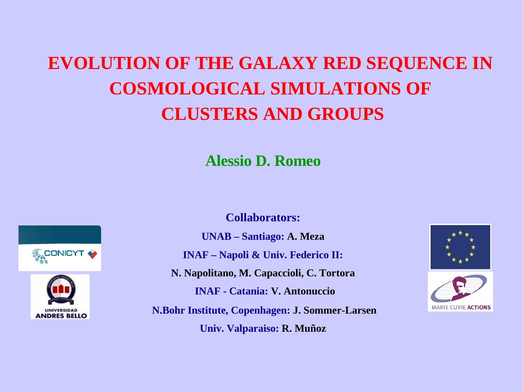# **EVOLUTION OF THE GALAXY RED SEQUENCE IN COSMOLOGICAL SIMULATIONS OF CLUSTERS AND GROUPS**

**Alessio D. Romeo**



**ANDRES RELIO** 

**Collaborators:**

**UNAB – Santiago: A. Meza INAF – Napoli & Univ. Federico II: N. Napolitano, M. Capaccioli, C. Tortora INAF - Catania: V. Antonuccio N.Bohr Institute, Copenhagen: J. Sommer-Larsen Univ. Valparaiso: R. Muñoz**



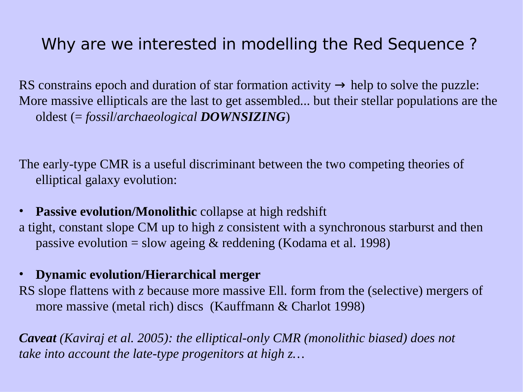#### Why are we interested in modelling the Red Sequence ?

RS constrains epoch and duration of star formation activity  $\rightarrow$  help to solve the puzzle: More massive ellipticals are the last to get assembled... but their stellar populations are the oldest (= *fossil*/*archaeological DOWNSIZING*)

The early-type CMR is a useful discriminant between the two competing theories of elliptical galaxy evolution:

• **Passive evolution/Monolithic** collapse at high redshift a tight, constant slope CM up to high *z* consistent with a synchronous starburst and then passive evolution = slow ageing & reddening (Kodama et al. 1998)

#### • **Dynamic evolution/Hierarchical merger**

RS slope flattens with *z* because more massive Ell. form from the (selective) mergers of more massive (metal rich) discs (Kauffmann & Charlot 1998)

*Caveat (Kaviraj et al. 2005): the elliptical-only CMR (monolithic biased) does not take into account the late-type progenitors at high z…*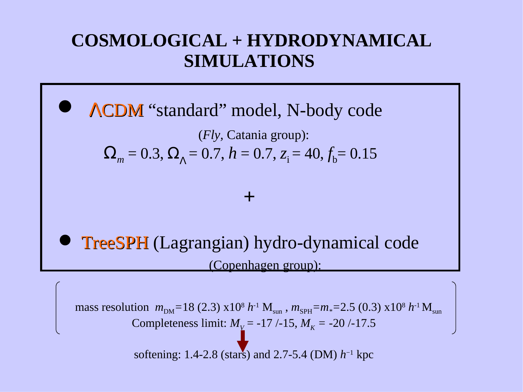### **COSMOLOGICAL + HYDRODYNAMICAL SIMULATIONS**

## ΛCDM "standard" model, N-body code

(*Fly,* Catania group):  $\Omega_m = 0.3$ ,  $\Omega_{\Lambda} = 0.7$ ,  $h = 0.7$ ,  $z_i = 40$ ,  $f_b = 0.15$ 

#### **+**

 TreeSPH (Lagrangian) hydro-dynamical code (Copenhagen group):

mass resolution  $m_{DM}$ =18 (2.3) x10<sup>8</sup> *h*<sup>-1</sup> M<sub>sun</sub>,  $m_{SPH}$ = $m_*$ =2.5 (0.3) x10<sup>8</sup> *h*<sup>-1</sup> M<sub>sun</sub> Completeness limit:  $M_{\text{V}}$  = -17 /-15,  $M_{\text{K}}$  = -20 /-17.5

softening: 1.4-2.8 (stars) and 2.7-5.4 (DM) *h* −1 kpc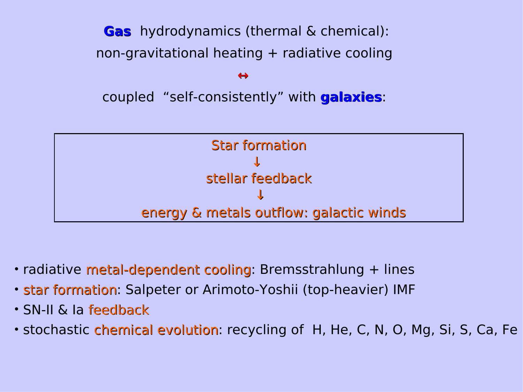**Gas** hydrodynamics (thermal & chemical): non-gravitational heating + radiative cooling  $\leftrightarrow$ coupled "self-consistently" with **galaxies**:



- radiative metal-dependent cooling: Bremsstrahlung + lines
- star formation: Salpeter or Arimoto-Yoshii (top-heavier) IMF
- SN-II & Ia feedback
- stochastic chemical evolution: recycling of H, He, C, N, O, Mg, Si, S, Ca, Fe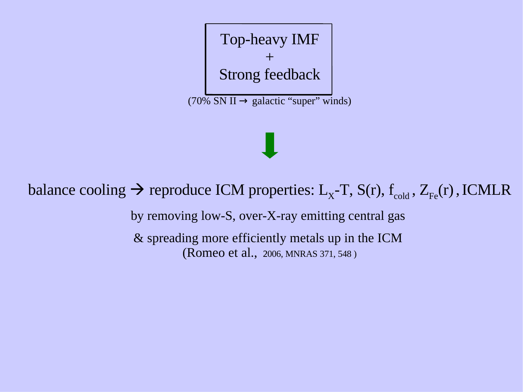Top-heavy IMF + Strong feedback  $(70\%$  SN II  $\rightarrow$  galactic "super" winds)

#### balance cooling  $\rightarrow$  reproduce ICM properties: L<sub>x</sub>-T, S(r), f<sub>cold</sub>, Z<sub>Fe</sub>(r), ICMLR

by removing low-S, over-X-ray emitting central gas

& spreading more efficiently metals up in the ICM (Romeo et al., 2006, MNRAS 371, 548 ) <sup>2</sup>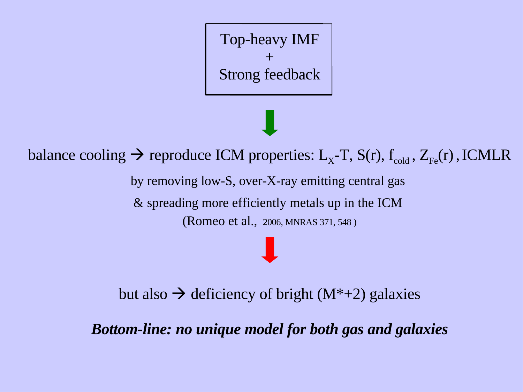Top-heavy IMF + Strong feedback

balance cooling  $\rightarrow$  reproduce ICM properties: L<sub>x</sub>-T, S(r), f<sub>cold</sub>, Z<sub>Fe</sub>(r), ICMLR by removing low-S, over-X-ray emitting central gas & spreading more efficiently metals up in the ICM (Romeo et al., 2006, MNRAS 371, 548 ) 2

but also  $\rightarrow$  deficiency of bright (M\*+2) galaxies

*Bottom-line: no unique model for both gas and galaxies*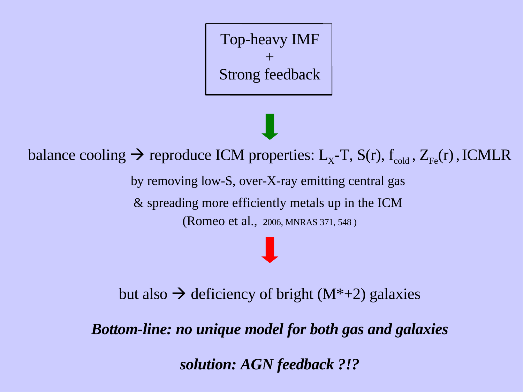Top-heavy IMF + Strong feedback

balance cooling  $\rightarrow$  reproduce ICM properties: L<sub>x</sub>-T, S(r), f<sub>cold</sub>, Z<sub>Fe</sub>(r), ICMLR by removing low-S, over-X-ray emitting central gas & spreading more efficiently metals up in the ICM (Romeo et al., 2006, MNRAS 371, 548 ) 2

but also  $\rightarrow$  deficiency of bright (M<sup>\*+2</sup>) galaxies

*Bottom-line: no unique model for both gas and galaxies*

*solution: AGN feedback ?!?*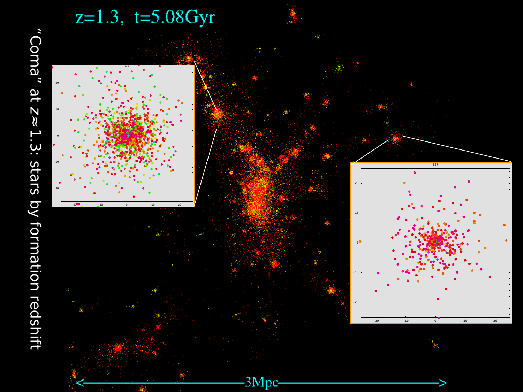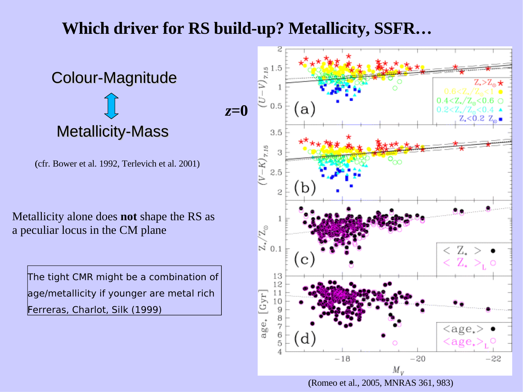#### **Which driver for RS build-up? Metallicity, SSFR…**

Colour-Magnitude Metallicity-Mass

(cfr. Bower et al. 1992, Terlevich et al. 2001) (

Metallicity alone does **not** shape the RS as a peculiar locus in the CM plane

The tight CMR might be a combination of age/metallicity if younger are metal rich Ferreras, Charlot, Silk (1999)

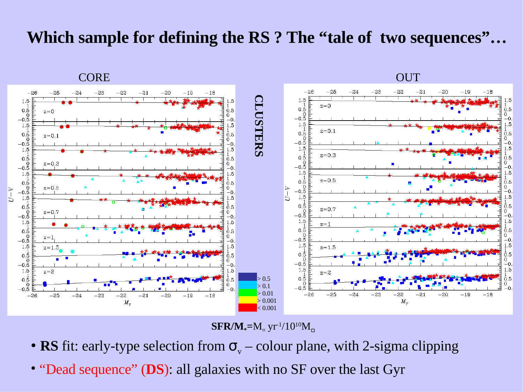#### **Which sample for defining the RS ? The "tale of two sequences"…**





 $\mathbf{SFR/M}_{*} = M_{\alpha} \text{ yr}^{-1}/10^{10} M_{\alpha}$ 

- **RS** fit: early-type selection from  $\sigma_{v}$  colour plane, with 2-sigma clipping
- "Dead sequence" (**DS**): all galaxies with no SF over the last Gyr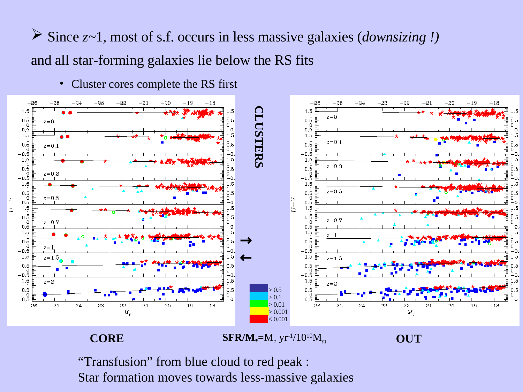Since *z~*1, most of s.f. occurs in less massive galaxies (*downsizing !)* and all star-forming galaxies lie below the RS fits





"Transfusion" from blue cloud to red peak : Star formation moves towards less-massive galaxies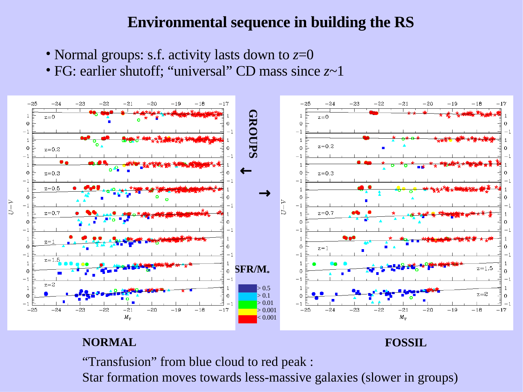#### **Environmental sequence in building the RS**

- Normal groups: s.f. activity lasts down to *z*=0
- FG: earlier shutoff; "universal" CD mass since *z*~1



#### **NORMAL FOSSIL**

"Transfusion" from blue cloud to red peak :

Star formation moves towards less-massive galaxies (slower in groups)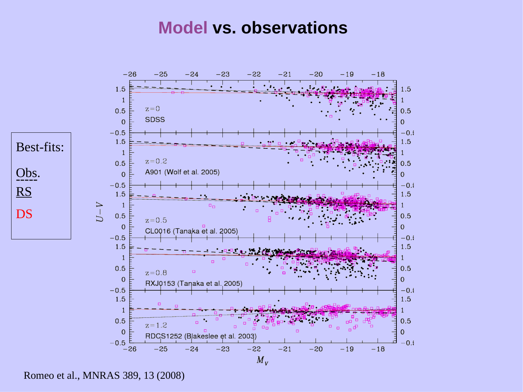#### **Model vs. observations**



Romeo et al., MNRAS 389, 13 (2008)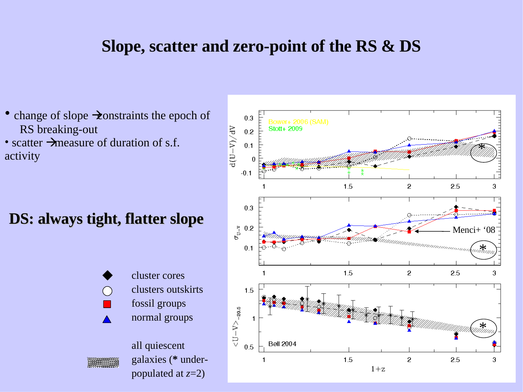#### **Slope, scatter and zero-point of the RS & DS**

- change of slope  $\rightarrow$  constraints the epoch of RS breaking-out
- scatter  $\rightarrow$  measure of duration of s.f. activity

#### **DS: always tight, flatter slope**



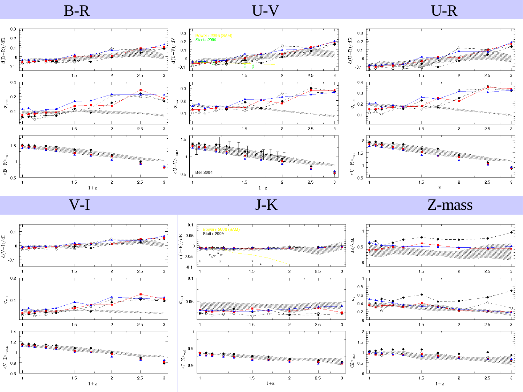



V-I J-K Z-mass

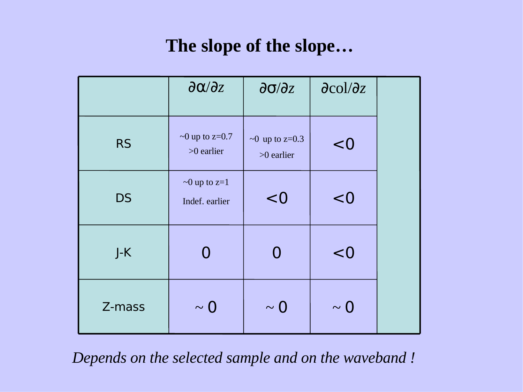# **The slope of the slope…**

|           | $\partial \alpha / \partial z$       | $\partial \sigma / \partial z$       | $\partial$ col/ $\partial$ z |  |
|-----------|--------------------------------------|--------------------------------------|------------------------------|--|
| <b>RS</b> | $\sim$ 0 up to z=0.7<br>$>0$ earlier | $\sim$ 0 up to z=0.3<br>$>0$ earlier | < 0                          |  |
| <b>DS</b> | $\sim$ 0 up to z=1<br>Indef. earlier | < 0                                  | < 0                          |  |
| $J-K$     | $\Omega$                             | < 0<br>0                             |                              |  |
| Z-mass    | $\sim 0$                             | $\sim 0$                             | $\sim 0$                     |  |

*Depends on the selected sample and on the waveband !*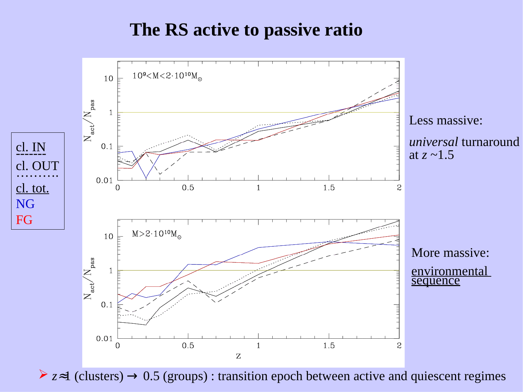### **The RS active to passive ratio**



*z*≈1 (clusters) → 0.5 (groups) : transition epoch between active and quiescent regimes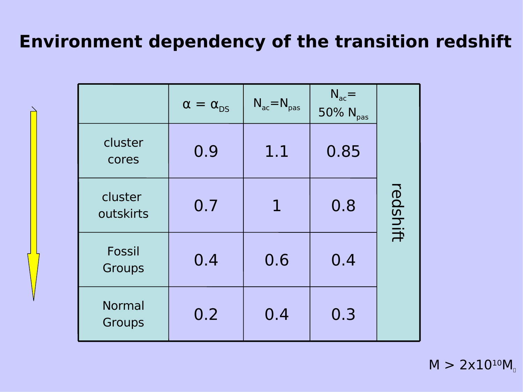## **Environment dependency of the transition redshift**

|                         | $\alpha = \alpha_{DS}$ | $N_{ac} = N_{pas}$ | $N_{ac}$ =<br>50% N <sub>pas</sub> |          |
|-------------------------|------------------------|--------------------|------------------------------------|----------|
| cluster<br>cores        | 0.9                    | 1.1                | 0.85                               |          |
| cluster<br>outskirts    | 0.7                    | 1                  | 0.8                                | redshift |
| Fossil<br>Groups        | 0.4                    | 0.6                | 0.4                                |          |
| <b>Normal</b><br>Groups | 0.2                    | 0.4                | 0.3                                |          |

 $M > 2x10^{10}M$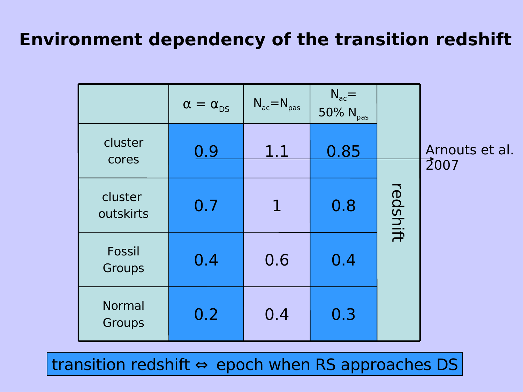## **Environment dependency of the transition redshift**

|                         | $\alpha = \alpha_{DS}$ | $N_{ac} = N_{pas}$ | $N_{ac}$ =<br>$50\%$ N <sub>pas</sub> |          |                                     |
|-------------------------|------------------------|--------------------|---------------------------------------|----------|-------------------------------------|
| cluster<br>cores        | 0.9                    | 1.1                | 0.85                                  |          | Arnouts et al.<br>$\overline{2}007$ |
| cluster<br>outskirts    | 0.7                    | $\mathbf{1}$       | 0.8                                   | redshift |                                     |
| Fossil<br>Groups        | 0.4                    | 0.6                | 0.4                                   |          |                                     |
| <b>Normal</b><br>Groups | 0.2                    | 0.4                | 0.3                                   |          |                                     |

transition redshift ⇔ epoch when RS approaches DS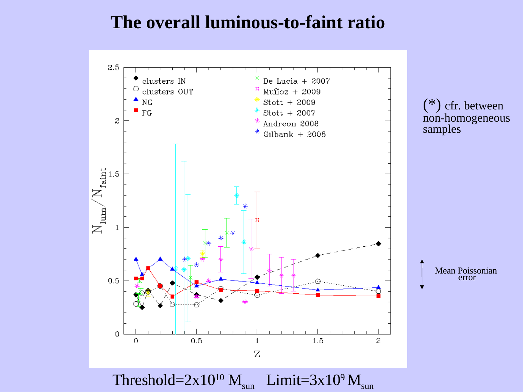#### **The overall luminous-to-faint ratio**

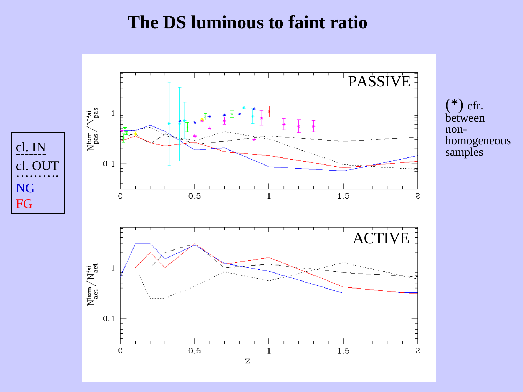#### **The DS luminous to faint ratio**

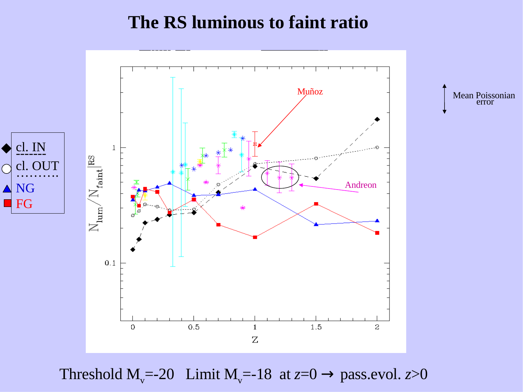### **The RS luminous to faint ratio**



Threshold  $M_v$ =-20 Limit  $M_v$ =-18 at  $z=0 \rightarrow$  pass.evol.  $z>0$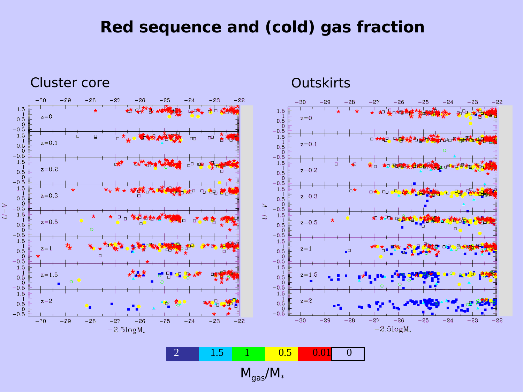#### **Red sequence and (cold) gas fraction**

 $-22$ 

 $-22$ 





 $M_{gas}/M_{*}$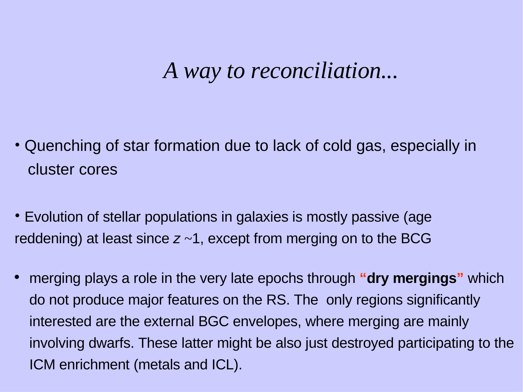# *A way to reconciliation...*

- Quenching of star formation due to lack of cold gas, especially in cluster cores
- Evolution of stellar populations in galaxies is mostly passive (age reddening) at least since  $z \sim 1$ , except from merging on to the BCG
- merging plays a role in the very late epochs through **"dry mergings"** which do not produce major features on the RS. The only regions significantly interested are the external BGC envelopes, where merging are mainly involving dwarfs. These latter might be also just destroyed participating to the ICM enrichment (metals and ICL).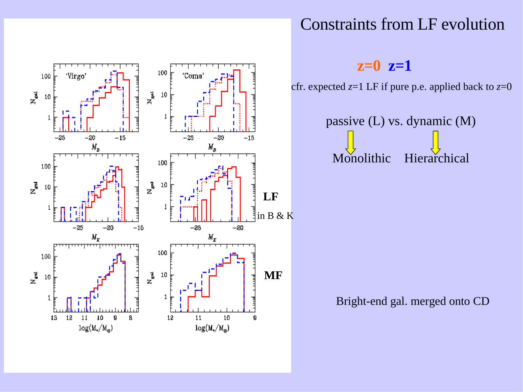



#### **z=0 z=1**

cfr. expected *z*=1 LF if pure p.e. applied back to *z*=0